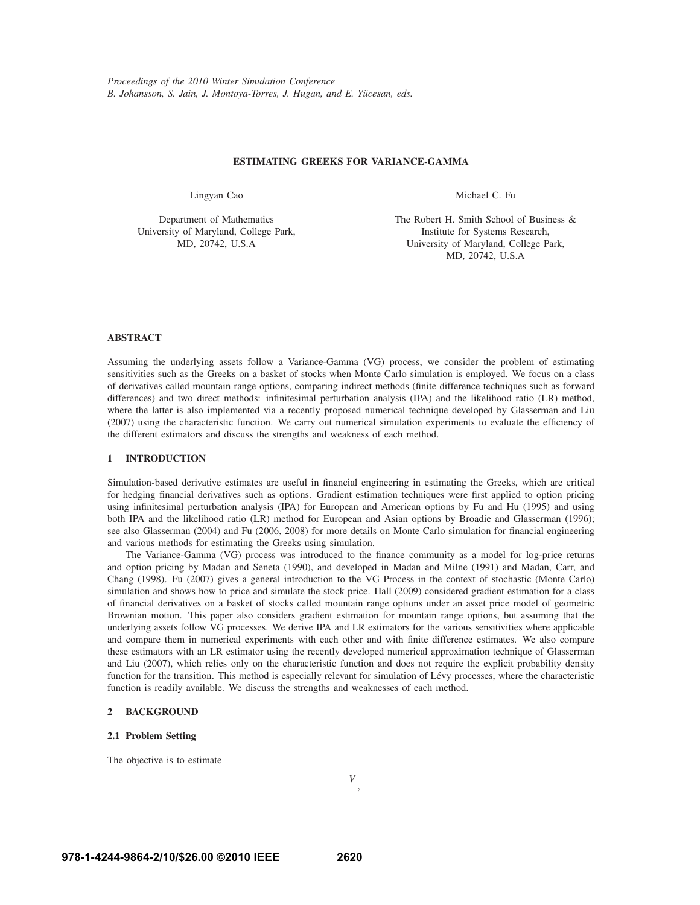## **ESTIMATING GREEKS FOR VARIANCE-GAMMA**

Lingyan Cao

Department of Mathematics University of Maryland, College Park, MD, 20742, U.S.A

The Robert H. Smith School of Business & Institute for Systems Research, University of Maryland, College Park, MD, 20742, U.S.A

Michael C. Fu

## **ABSTRACT**

Assuming the underlying assets follow a Variance-Gamma (VG) process, we consider the problem of estimating sensitivities such as the Greeks on a basket of stocks when Monte Carlo simulation is employed. We focus on a class of derivatives called mountain range options, comparing indirect methods (finite difference techniques such as forward differences) and two direct methods: infinitesimal perturbation analysis (IPA) and the likelihood ratio (LR) method, where the latter is also implemented via a recently proposed numerical technique developed by Glasserman and Liu (2007) using the characteristic function. We carry out numerical simulation experiments to evaluate the efficiency of the different estimators and discuss the strengths and weakness of each method.

## **1 INTRODUCTION**

Simulation-based derivative estimates are useful in financial engineering in estimating the Greeks, which are critical for hedging financial derivatives such as options. Gradient estimation techniques were first applied to option pricing using infinitesimal perturbation analysis (IPA) for European and American options by Fu and Hu (1995) and using both IPA and the likelihood ratio (LR) method for European and Asian options by Broadie and Glasserman (1996); see also Glasserman (2004) and Fu (2006, 2008) for more details on Monte Carlo simulation for financial engineering and various methods for estimating the Greeks using simulation.

The Variance-Gamma (VG) process was introduced to the finance community as a model for log-price returns and option pricing by Madan and Seneta (1990), and developed in Madan and Milne (1991) and Madan, Carr, and Chang (1998). Fu (2007) gives a general introduction to the VG Process in the context of stochastic (Monte Carlo) simulation and shows how to price and simulate the stock price. Hall (2009) considered gradient estimation for a class of financial derivatives on a basket of stocks called mountain range options under an asset price model of geometric Brownian motion. This paper also considers gradient estimation for mountain range options, but assuming that the underlying assets follow VG processes. We derive IPA and LR estimators for the various sensitivities where applicable and compare them in numerical experiments with each other and with finite difference estimates. We also compare these estimators with an LR estimator using the recently developed numerical approximation technique of Glasserman and Liu (2007), which relies only on the characteristic function and does not require the explicit probability density function for the transition. This method is especially relevant for simulation of Lévy processes, where the characteristic function is readily available. We discuss the strengths and weaknesses of each method.

## **2 BACKGROUND**

## **2.1 Problem Setting**

The objective is to estimate

<sup>∂</sup>*V*  $\overline{\partial \xi}$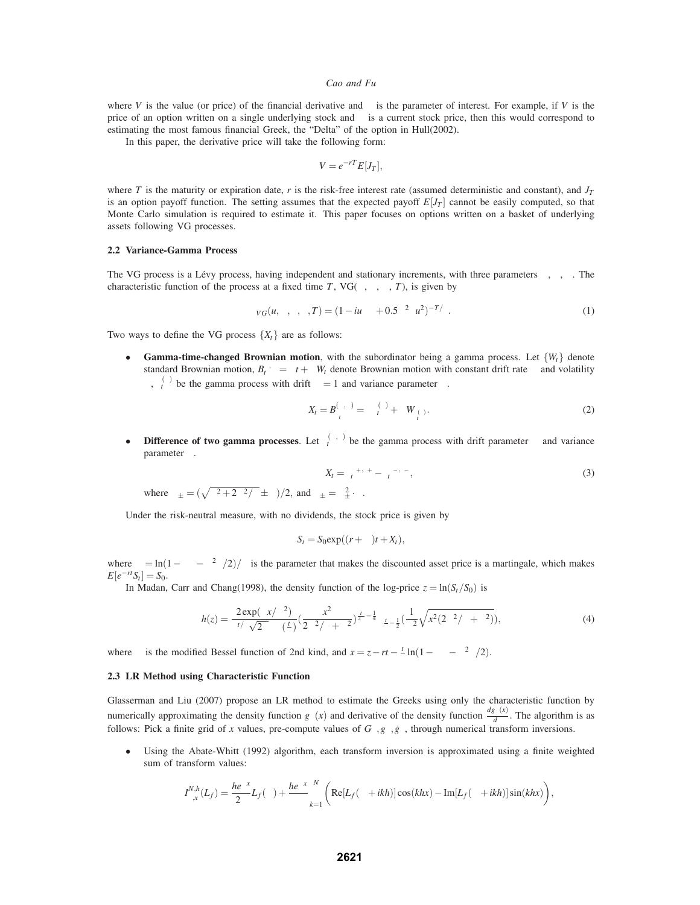where *V* is the value (or price) of the financial derivative and  $\xi$  is the parameter of interest. For example, if *V* is the price of an option written on a single underlying stock and  $\xi$  is a current stock price, then this would correspond to estimating the most famous financial Greek, the "Delta" of the option in Hull(2002).

In this paper, the derivative price will take the following form:

$$
V = e^{-rT} E[J_T],
$$

where *T* is the maturity or expiration date, *r* is the risk-free interest rate (assumed deterministic and constant), and  $J_T$ is an option payoff function. The setting assumes that the expected payoff  $E[J_T]$  cannot be easily computed, so that Monte Carlo simulation is required to estimate it. This paper focuses on options written on a basket of underlying assets following VG processes.

## **2.2 Variance-Gamma Process**

The VG process is a Lévy process, having independent and stationary increments, with three parameters  $\sigma$ ,  $v$ ,  $\theta$ . The characteristic function of the process at a fixed time *T*, VG( $\sigma$ ,  $v$ ,  $\theta$ , *T*), is given by

$$
\phi_{VG}(u,\sigma,v,\theta,T) = (1 - iu\theta v + 0.5\sigma^2 vu^2)^{-T/\nu}.
$$
\n(1)

Two ways to define the VG process  $\{X_t\}$  are as follows:

• **Gamma-time-changed Brownian motion**, with the subordinator being a gamma process. Let  $\{W_t\}$  denote standard Brownian motion,  $B_t^{\mu,\sigma} = \mu t + \sigma W_t$  denote Brownian motion with constant drift rate  $\mu$  and volatility σ,  $\gamma_t^{(v)}$  be the gamma process with drift  $\mu = 1$  and variance parameter *ν*.

$$
X_t = B_{\gamma_t^{\prime}}^{(\theta,\sigma)} = \theta \gamma_t^{(\nu)} + \sigma W_{\gamma_t^{(\nu)}}.
$$
\n(2)

• **Difference of two gamma processes**. Let  $\gamma_t^{(\mu,\nu)}$  be the gamma process with drift parameter  $\mu$  and variance parameter <sup>ν</sup>.

$$
X_t = \gamma_t^{\mu_+, \nu_+} - \gamma_t^{\mu_-, \nu_-},\tag{3}
$$

where  $\mu_{\pm} = (\sqrt{\theta^2 + 2\sigma^2/v} \pm \theta)/2$ , and  $v_{\pm} = \mu_{\pm}^2 \cdot v$ .

Under the risk-neutral measure, with no dividends, the stock price is given by

$$
S_t = S_0 \exp((r + \omega)t + X_t),
$$

where  $\omega = \ln(1 - \theta v - \sigma^2 v/2)/v$  is the parameter that makes the discounted asset price is a martingale, which makes  $E[e^{-rt}S_t] = S_0$ .

In Madan, Carr and Chang(1998), the density function of the log-price  $z = \ln(S_t/S_0)$  is

$$
h(z) = \frac{2 \exp(\theta x/\sigma^2)}{\nu t/\nu \sqrt{2\pi}\sigma \Gamma(\frac{t}{\nu})} \left(\frac{x^2}{2\sigma^2/\nu + \theta^2}\right)^{\frac{t}{2\nu} - \frac{1}{4}} \kappa_{\frac{t}{\nu} - \frac{1}{2}} \left(\frac{1}{\sigma^2} \sqrt{x^2 (2\sigma^2/\nu + \theta^2)}\right),\tag{4}
$$

where  $\kappa$  is the modified Bessel function of 2nd kind, and  $x = z - rt - \frac{t}{v} \ln(1 - \theta v - \sigma^2 v/2)$ .

### **2.3 LR Method using Characteristic Function**

Glasserman and Liu (2007) propose an LR method to estimate the Greeks using only the characteristic function by numerically approximating the density function  $g_{\xi}(x)$  and derivative of the density function  $\frac{dg_{\xi}(x)}{d\xi}$ . The algorithm is as follows: Pick a finite grid of *x* values, pre-compute values of  $G_{\xi}$ ,  $g_{\xi}$ ,  $g_{\xi}$ , through numerical transform inversions.

• Using the Abate-Whitt (1992) algorithm, each transform inversion is approximated using a finite weighted sum of transform values:

$$
I_{\xi,x}^{N,h}(L_f) = \frac{he^{\sigma x}}{2\pi}L_f(\sigma) + \frac{he^{\sigma x}}{\pi} \sum_{k=1}^N \left( \text{Re}[L_f(\sigma+ikh)]\cos(khx) - \text{Im}[L_f(\sigma+ikh)]\sin(khx) \right),
$$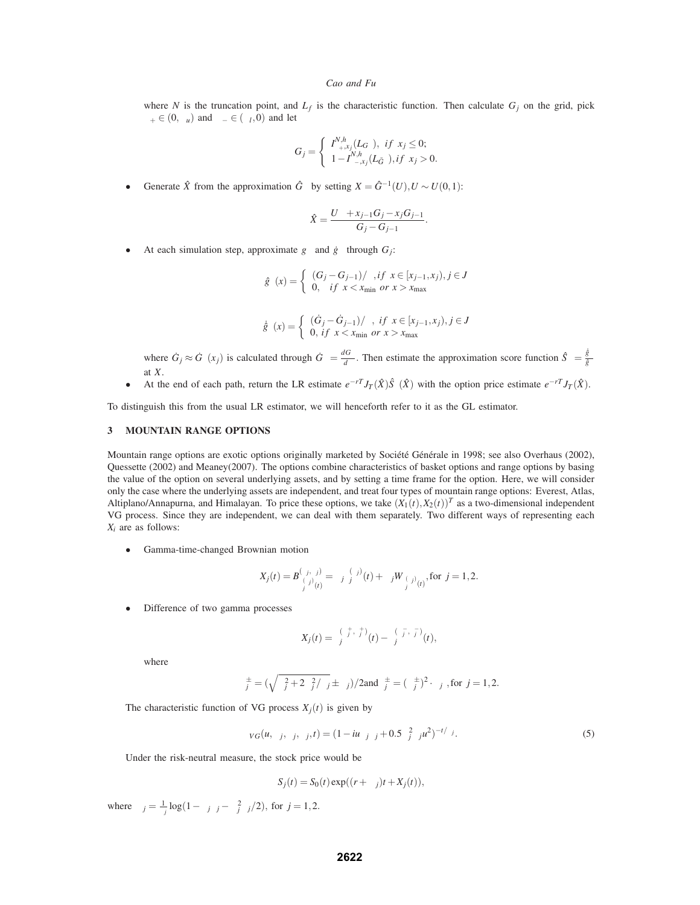where *N* is the truncation point, and  $L_f$  is the characteristic function. Then calculate  $G_j$  on the grid, pick  $\sigma_+ \in (0, \sigma_u)$  and  $\sigma_- \in (\sigma_l, 0)$  and let

$$
G_j = \begin{cases} I_{\sigma_+,x_j}^{N,h}(L_{G_{\xi}}), & \text{if } x_j \le 0; \\ 1 - I_{\sigma_-,x_j}^{N,h}(L_{\tilde{G}_{\xi}}), & \text{if } x_j > 0. \end{cases}
$$

• Generate *X*̂ from the approximation  $G_{\xi}$  by setting *X* =  $G_{\xi}^{-1}(U)$ , *U* ∼ *U*(0,1):

$$
\hat{X} = \frac{U\delta + x_{j-1}G_j - x_jG_{j-1}}{G_j - G_{j-1}}.
$$

At each simulation step, approximate  $g_{\xi}$  and  $\dot{g}_{\xi}$  through  $G_j$ :

$$
\hat{g}_{\xi}(x) = \begin{cases} (G_j - G_{j-1})/\delta, if \ x \in [x_{j-1}, x_j), j \in J \\ 0, if \ x < x_{\min} \ or \ x > x_{\max} \end{cases}
$$

$$
\dot{\hat{g}}_{\xi}(x) = \begin{cases} (\dot{G}_j - \dot{G}_{j-1})/\delta, & \text{if } x \in [x_{j-1}, x_j), j \in J \\ 0, & \text{if } x < x_{\min} \text{ or } x > x_{\max} \end{cases}
$$

where  $G_j \approx G_\xi(x_j)$  is calculated through  $G_\xi = \frac{dG_\xi}{d\xi}$ . Then estimate the approximation score function  $\hat{S}_\xi = \frac{\hat{g}_\xi}{\hat{g}_\xi}$  $\hat{g}_ξ$ at *X*.

• At the end of each path, return the LR estimate  $e^{-rT}J_T(\hat{X})\hat{S}_{\xi}(\hat{X})$  with the option price estimate  $e^{-rT}J_T(\hat{X})$ .

To distinguish this from the usual LR estimator, we will henceforth refer to it as the GL estimator.

#### **3 MOUNTAIN RANGE OPTIONS**

Mountain range options are exotic options originally marketed by Société Générale in 1998; see also Overhaus (2002), Quessette (2002) and Meaney(2007). The options combine characteristics of basket options and range options by basing the value of the option on several underlying assets, and by setting a time frame for the option. Here, we will consider only the case where the underlying assets are independent, and treat four types of mountain range options: Everest, Atlas, Altiplano/Annapurna, and Himalayan. To price these options, we take  $(X_1(t), X_2(t))^T$  as a two-dimensional independent VG process. Since they are independent, we can deal with them separately. Two different ways of representing each *Xi* are as follows:

• Gamma-time-changed Brownian motion

$$
X_j(t) = B_{\gamma_j^{(v_j)}(t)}^{(\theta_j, \sigma_j)} = \theta_j \gamma_j^{(v_j)}(t) + \sigma_j W_{\gamma_j^{(v_j)}(t)}, \text{for } j = 1, 2.
$$

• Difference of two gamma processes

$$
X_j(t) = \gamma_j^{(\mu_j^+, \nu_j^+)}(t) - \gamma_j^{(\mu_j^-, \nu_j^-)}(t),
$$

where

$$
\mu_j^{\pm} = (\sqrt{\theta_j^2 + 2\sigma_j^2/v_j} \pm \theta_j)/2 \text{and} v_j^{\pm} = (\mu_j^{\pm})^2 \cdot v_j \text{ , for } j = 1, 2.
$$

The characteristic function of VG process  $X_i(t)$  is given by

$$
\phi_{VG}(u,\sigma_j,v_j,\theta_j,t) = (1 - iu\theta_jv_j + 0.5\sigma_j^2v_ju^2)^{-t/v_j}.
$$
\n(5)

Under the risk-neutral measure, the stock price would be

$$
S_j(t) = S_0(t) \exp((r + \omega_j)t + X_j(t)),
$$

where  $\omega_j = \frac{1}{v_j} \log(1 - \theta_j v_j - \sigma_j^2 v_j/2)$ , for  $j = 1, 2$ .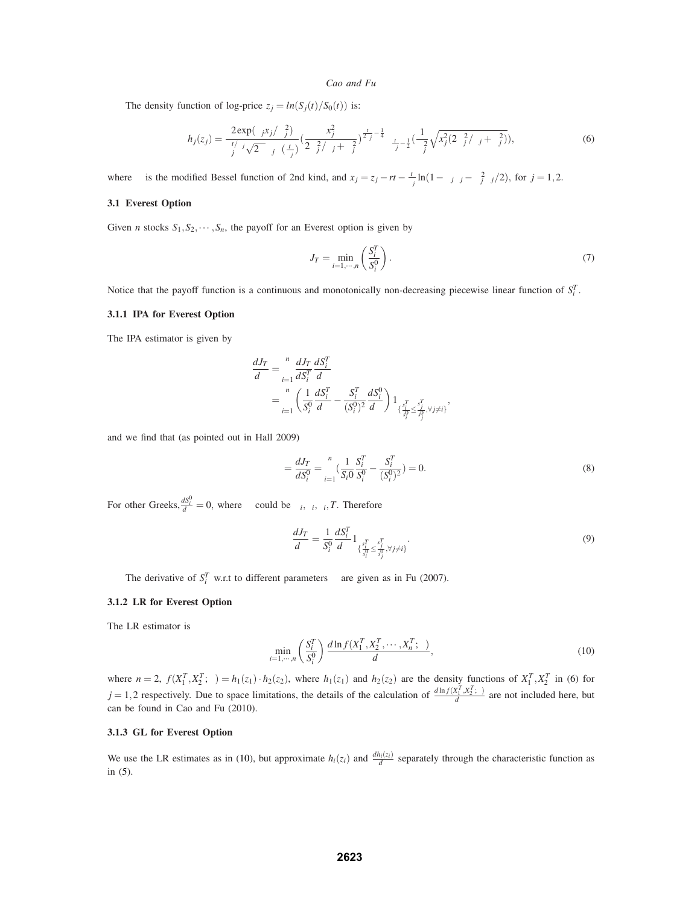The density function of log-price  $z_j = ln(S_j(t)/S_0(t))$  is:

$$
h_j(z_j) = \frac{2 \exp(\theta_j x_j/\sigma_j^2)}{v_j^{1/v_j} \sqrt{2\pi} \sigma_j \Gamma(\frac{t}{v_j})} \left( \frac{x_j^2}{2\sigma_j^2 / v_j + \theta_j^2} \right)^{\frac{t}{2v_j} - \frac{1}{4}} \kappa_{\frac{t}{v_j} - \frac{1}{2}} \left( \frac{1}{\sigma_j^2} \sqrt{x_j^2 (2\sigma_j^2 / v_j + \theta_j^2)} \right),
$$
(6)

where  $\kappa$  is the modified Bessel function of 2nd kind, and  $x_j = z_j - rt - \frac{t}{v_j} \ln(1 - \theta_j v_j - \sigma_j^2 v_j/2)$ , for  $j = 1, 2$ .

### **3.1 Everest Option**

Given *n* stocks  $S_1, S_2, \dots, S_n$ , the payoff for an Everest option is given by

$$
J_T = \min_{i=1,\cdots,n} \left( \frac{S_i^T}{S_i^0} \right). \tag{7}
$$

Notice that the payoff function is a continuous and monotonically non-decreasing piecewise linear function of  $S_i^T$ .

### **3.1.1 IPA for Everest Option**

The IPA estimator is given by

$$
\frac{dJ_T}{d\xi} = \sum_{i=1}^{n} \frac{dJ_T}{dS_i^T} \frac{dS_i^T}{d\xi} \n= \sum_{i=1}^{n} \left( \frac{1}{S_i^0} \frac{dS_i^T}{d\xi} - \frac{S_i^T}{(S_i^0)^2} \frac{dS_i^0}{d\xi} \right) 1_{\{\frac{s_i^T}{s_i^0} \le \frac{s_i^T}{s_j^0}, \forall j \neq i\}},
$$

and we find that (as pointed out in Hall 2009)

$$
\Delta = \frac{dJ_T}{dS_i^0} = \sum_{i=1}^n \left(\frac{1}{S_i 0} \frac{S_i^T}{S_i^0} - \frac{S_i^T}{(S_i^0)^2}\right) = 0.
$$
\n(8)

For other Greeks,  $\frac{dS_i^0}{d\zeta} = 0$ , where  $\zeta$  could be  $\sigma_i$ ,  $v_i$ ,  $\theta_i$ , *T*. Therefore

$$
\frac{dJ_T}{d\xi} = \frac{1}{S_i^0} \frac{dS_i^T}{d\xi} 1_{\{\frac{s_i^T}{s_i^0} \le \frac{s_i^T}{s_j^0}, \forall j \neq i\}}.\tag{9}
$$

The derivative of  $S_i^T$  w.r.t to different parameters  $\xi$  are given as in Fu (2007).

## **3.1.2 LR for Everest Option**

The LR estimator is

$$
\min_{i=1,\cdots,n} \left(\frac{S_i^T}{S_i^0}\right) \frac{d \ln f(X_1^T, X_2^T, \cdots, X_n^T; \xi)}{d\xi},\tag{10}
$$

where  $n = 2$ ,  $f(X_1^T, X_2^T; \xi) = h_1(z_1) \cdot h_2(z_2)$ , where  $h_1(z_1)$  and  $h_2(z_2)$  are the density functions of  $X_1^T, X_2^T$  in (6) for  $j = 1,2$  respectively. Due to space limitations, the details of the calculation of  $\frac{d \ln f(X_1^T, X_2^T, \xi)}{d \xi}$  are not included here, but can be found in Cao and Fu (2010).

### **3.1.3 GL for Everest Option**

We use the LR estimates as in (10), but approximate  $h_i(z_i)$  and  $\frac{dh_i(z_i)}{d\zeta}$  separately through the characteristic function as in (5).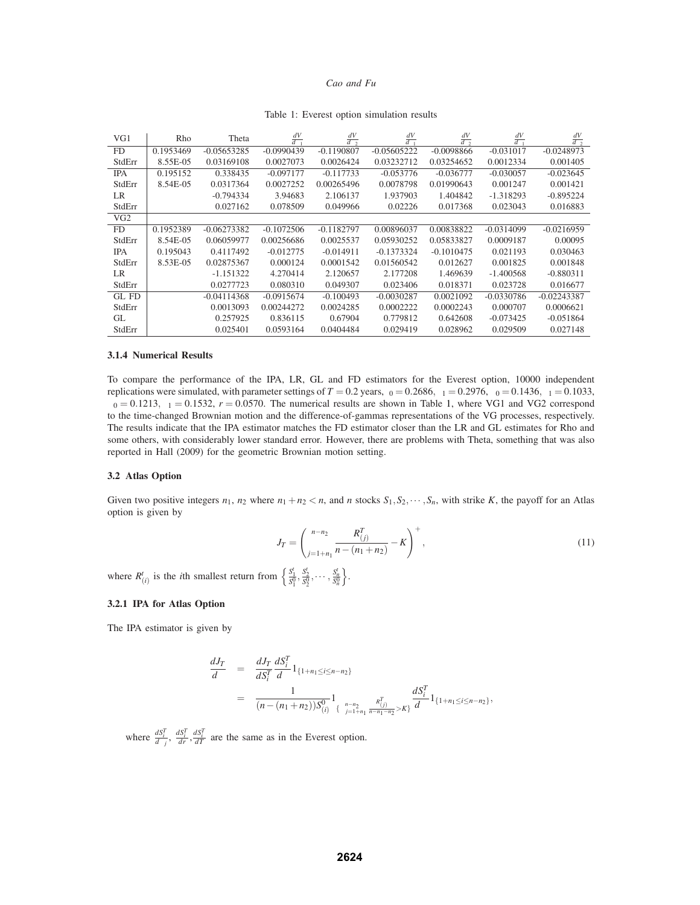| VG1        | Rho       | Theta         | dV<br>$\overline{d\sigma}$ | $\frac{dV}{d\sigma_2}$ | $\frac{dV}{dv_1}$ | $\frac{dV}{dv_2}$ | $\frac{dV}{d\theta_1}$ | $\frac{dV}{d\theta}$ |
|------------|-----------|---------------|----------------------------|------------------------|-------------------|-------------------|------------------------|----------------------|
| FD.        | 0.1953469 | $-0.05653285$ | $-0.0990439$               | $-0.1190807$           | $-0.05605222$     | $-0.0098866$      | $-0.031017$            | $-0.0248973$         |
| StdErr     | 8.55E-05  | 0.03169108    | 0.0027073                  | 0.0026424              | 0.03232712        | 0.03254652        | 0.0012334              | 0.001405             |
| <b>IPA</b> | 0.195152  | 0.338435      | $-0.097177$                | $-0.117733$            | $-0.053776$       | $-0.036777$       | $-0.030057$            | $-0.023645$          |
| StdErr     | 8.54E-05  | 0.0317364     | 0.0027252                  | 0.00265496             | 0.0078798         | 0.01990643        | 0.001247               | 0.001421             |
| LR         |           | $-0.794334$   | 3.94683                    | 2.106137               | 1.937903          | 1.404842          | $-1.318293$            | $-0.895224$          |
| StdErr     |           | 0.027162      | 0.078509                   | 0.049966               | 0.02226           | 0.017368          | 0.023043               | 0.016883             |
| VG2        |           |               |                            |                        |                   |                   |                        |                      |
| FD.        | 0.1952389 | $-0.06273382$ | $-0.1072506$               | $-0.1182797$           | 0.00896037        | 0.00838822        | $-0.0314099$           | $-0.0216959$         |
| StdErr     | 8.54E-05  | 0.06059977    | 0.00256686                 | 0.0025537              | 0.05930252        | 0.05833827        | 0.0009187              | 0.00095              |
| <b>IPA</b> | 0.195043  | 0.4117492     | $-0.012775$                | $-0.014911$            | $-0.1373324$      | $-0.1010475$      | 0.021193               | 0.030463             |
| StdErr     | 8.53E-05  | 0.02875367    | 0.000124                   | 0.0001542              | 0.01560542        | 0.012627          | 0.001825               | 0.001848             |
| LR.        |           | $-1.151322$   | 4.270414                   | 2.120657               | 2.177208          | 1.469639          | $-1.400568$            | $-0.880311$          |
| StdErr     |           | 0.0277723     | 0.080310                   | 0.049307               | 0.023406          | 0.018371          | 0.023728               | 0.016677             |
| $GL$ FD    |           | $-0.04114368$ | $-0.0915674$               | $-0.100493$            | $-0.0030287$      | 0.0021092         | $-0.0330786$           | $-0.02243387$        |
| StdErr     |           | 0.0013093     | 0.00244272                 | 0.0024285              | 0.0002222         | 0.0002243         | 0.000707               | 0.0006621            |
| GL         |           | 0.257925      | 0.836115                   | 0.67904                | 0.779812          | 0.642608          | $-0.073425$            | $-0.051864$          |
| StdErr     |           | 0.025401      | 0.0593164                  | 0.0404484              | 0.029419          | 0.028962          | 0.029509               | 0.027148             |

### Table 1: Everest option simulation results

#### **3.1.4 Numerical Results**

To compare the performance of the IPA, LR, GL and FD estimators for the Everest option, 10000 independent replications were simulated, with parameter settings of  $T = 0.2$  years,  $v_0 = 0.2686$ ,  $v_1 = 0.2976$ ,  $\theta_0 = 0.1436$ ,  $\theta_1 = 0.1033$ ,  $\sigma_0 = 0.1213$ ,  $\sigma_1 = 0.1532$ ,  $r = 0.0570$ . The numerical results are shown in Table 1, where VG1 and VG2 correspond to the time-changed Brownian motion and the difference-of-gammas representations of the VG processes, respectively. The results indicate that the IPA estimator matches the FD estimator closer than the LR and GL estimates for Rho and some others, with considerably lower standard error. However, there are problems with Theta, something that was also reported in Hall (2009) for the geometric Brownian motion setting.

### **3.2 Atlas Option**

Given two positive integers  $n_1$ ,  $n_2$  where  $n_1 + n_2 < n$ , and *n* stocks  $S_1, S_2, \dots, S_n$ , with strike *K*, the payoff for an Atlas option is given by

$$
J_T = \left(\sum_{j=1+n_1}^{n-n_2} \frac{R_{(j)}^T}{n - (n_1+n_2)} - K\right)^+,
$$
\n(11)

where  $R^t_{(i)}$  is the *i*th smallest return from  $\left\{\frac{s_1^t}{s_1^0}, \frac{s_2^t}{s_2^0}, \dots, \frac{s_n^t}{s_n^0}\right\}$ .

## **3.2.1 IPA for Atlas Option**

The IPA estimator is given by

$$
\begin{array}{rcl} \displaystyle \frac{dJ_T}{d\xi} & = & \displaystyle \frac{dJ_T}{dS_i^T} \frac{dS_i^T}{d\xi} 1_{\{1+n_1 \leq i \leq n-n_2\}} \\ & = & \displaystyle \frac{1}{(n-(n_1+n_2))S_{(i)}^{0}} 1_{\{ \sum_{j=1+n_1}^{n-n_2} \frac{R_{(j)}^T}{n-n_1-n_2} > K \}} \frac{dS_i^T}{d\xi} 1_{\{1+n_1 \leq i \leq n-n_2\}}, \end{array}
$$

where  $\frac{dS_i^T}{d\sigma_j}$ ,  $\frac{dS_i^T}{dr}$ ,  $\frac{dS_i^T}{dT}$  are the same as in the Everest option.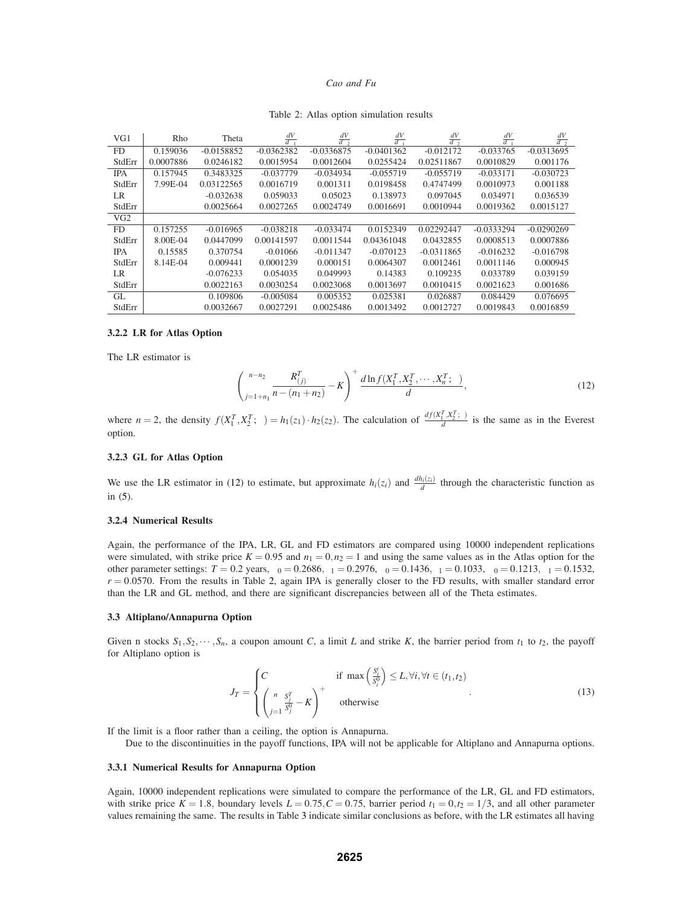|  |  |  |  | Table 2: Atlas option simulation results |  |
|--|--|--|--|------------------------------------------|--|
|--|--|--|--|------------------------------------------|--|

| VG1        | Rho       | Theta        | $\frac{dV}{d\sigma_1}$ | $\frac{dV}{d\sigma_2}$ | $\frac{dV}{dV_1}$ | $\frac{dV}{dv_2}$ | $\frac{dV}{d\theta_1}$ | $\frac{dV}{d\theta}$ |
|------------|-----------|--------------|------------------------|------------------------|-------------------|-------------------|------------------------|----------------------|
| FD.        | 0.159036  | $-0.0158852$ | $-0.0362382$           | $-0.0336875$           | $-0.0401362$      | $-0.012172$       | $-0.033765$            | $-0.0313695$         |
| StdErr     | 0.0007886 | 0.0246182    | 0.0015954              | 0.0012604              | 0.0255424         | 0.02511867        | 0.0010829              | 0.001176             |
| <b>IPA</b> | 0.157945  | 0.3483325    | $-0.037779$            | $-0.034934$            | $-0.055719$       | $-0.055719$       | $-0.033171$            | $-0.030723$          |
| StdErr     | 7.99E-04  | 0.03122565   | 0.0016719              | 0.001311               | 0.0198458         | 0.4747499         | 0.0010973              | 0.001188             |
| LR         |           | $-0.032638$  | 0.059033               | 0.05023                | 0.138973          | 0.097045          | 0.034971               | 0.036539             |
| StdErr     |           | 0.0025664    | 0.0027265              | 0.0024749              | 0.0016691         | 0.0010944         | 0.0019362              | 0.0015127            |
| VG2        |           |              |                        |                        |                   |                   |                        |                      |
| FD.        | 0.157255  | $-0.016965$  | $-0.038218$            | $-0.033474$            | 0.0152349         | 0.02292447        | $-0.0333294$           | $-0.0290269$         |
| StdErr     | 8.00E-04  | 0.0447099    | 0.00141597             | 0.0011544              | 0.04361048        | 0.0432855         | 0.0008513              | 0.0007886            |
| <b>IPA</b> | 0.15585   | 0.370754     | $-0.01066$             | $-0.011347$            | $-0.070123$       | $-0.0311865$      | $-0.016232$            | $-0.016798$          |
| StdErr     | 8.14E-04  | 0.009441     | 0.0001239              | 0.000151               | 0.0064307         | 0.0012461         | 0.0011146              | 0.000945             |
| LR         |           | $-0.076233$  | 0.054035               | 0.049993               | 0.14383           | 0.109235          | 0.033789               | 0.039159             |
| StdErr     |           | 0.0022163    | 0.0030254              | 0.0023068              | 0.0013697         | 0.0010415         | 0.0021623              | 0.001686             |
| GL.        |           | 0.109806     | $-0.005084$            | 0.005352               | 0.025381          | 0.026887          | 0.084429               | 0.076695             |
| StdErr     |           | 0.0032667    | 0.0027291              | 0.0025486              | 0.0013492         | 0.0012727         | 0.0019843              | 0.0016859            |

### **3.2.2 LR for Atlas Option**

The LR estimator is

$$
\left(\sum_{j=1+n_1}^{n-n_2} \frac{R_{(j)}^T}{n - (n_1 + n_2)} - K\right)^+ \frac{d \ln f(X_1^T, X_2^T, \cdots, X_n^T; \xi)}{d\xi},\tag{12}
$$

where  $n = 2$ , the density  $f(X_1^T, X_2^T; \xi) = h_1(z_1) \cdot h_2(z_2)$ . The calculation of  $\frac{df(X_1^T, X_2^T; \xi)}{d\xi}$  is the same as in the Everest option.

### **3.2.3 GL for Atlas Option**

We use the LR estimator in (12) to estimate, but approximate  $h_i(z_i)$  and  $\frac{dh_i(z_i)}{d\zeta}$  through the characteristic function as in (5).

### **3.2.4 Numerical Results**

Again, the performance of the IPA, LR, GL and FD estimators are compared using 10000 independent replications were simulated, with strike price  $K = 0.95$  and  $n_1 = 0, n_2 = 1$  and using the same values as in the Atlas option for the other parameter settings:  $T = 0.2$  years,  $v_0 = 0.2686$ ,  $v_1 = 0.2976$ ,  $\theta_0 = 0.1436$ ,  $\theta_1 = 0.1033$ ,  $\sigma_0 = 0.1213$ ,  $\sigma_1 = 0.1532$ ,  $r = 0.0570$ . From the results in Table 2, again IPA is generally closer to the FD results, with smaller standard error than the LR and GL method, and there are significant discrepancies between all of the Theta estimates.

#### **3.3 Altiplano/Annapurna Option**

Given n stocks  $S_1, S_2, \dots, S_n$ , a coupon amount *C*, a limit *L* and strike *K*, the barrier period from  $t_1$  to  $t_2$ , the payoff for Altiplano option is

$$
J_T = \begin{cases} C & \text{if } \max\left(\frac{S_i^t}{S_i^0}\right) \le L, \forall i, \forall t \in (t_1, t_2) \\ \left(\sum_{j=1}^n \frac{S_j^T}{S_j^0} - K\right)^+ & \text{otherwise} \end{cases}
$$
(13)

If the limit is a floor rather than a ceiling, the option is Annapurna.

Due to the discontinuities in the payoff functions, IPA will not be applicable for Altiplano and Annapurna options.

## **3.3.1 Numerical Results for Annapurna Option**

Again, 10000 independent replications were simulated to compare the performance of the LR, GL and FD estimators, with strike price  $K = 1.8$ , boundary levels  $L = 0.75$ ,  $C = 0.75$ , barrier period  $t_1 = 0$ ,  $t_2 = 1/3$ , and all other parameter values remaining the same. The results in Table 3 indicate similar conclusions as before, with the LR estimates all having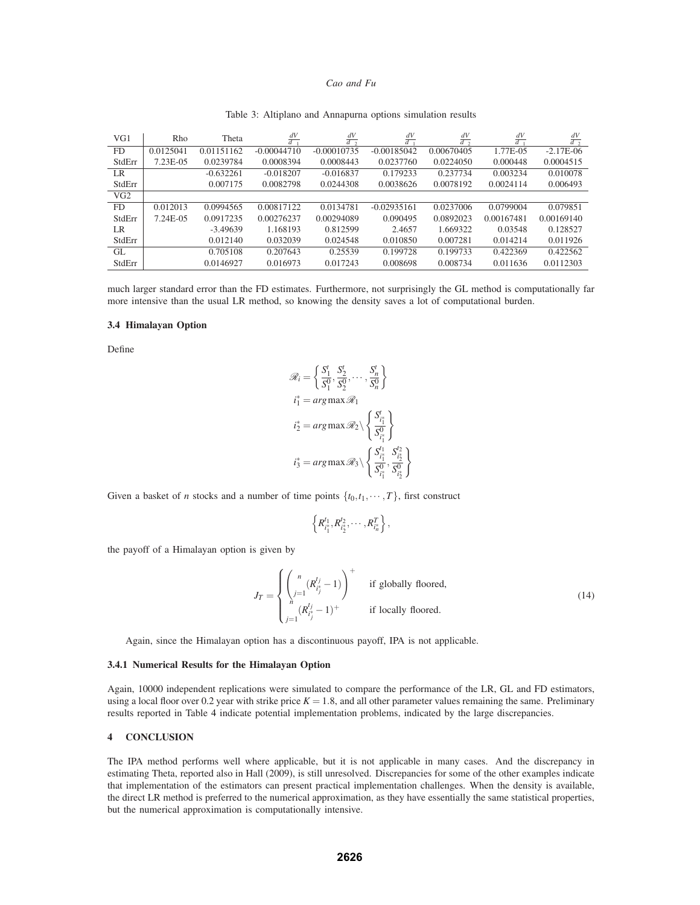| VG1       | Rho       | Theta       | $\frac{dV}{d\sigma_1}$ | $\frac{dV}{d\sigma_2}$ | $\frac{dV}{dv_1}$ | $\frac{dV}{dv_2}$ | $\frac{dV}{d\theta_1}$ | $\frac{dV}{d\theta}$ |
|-----------|-----------|-------------|------------------------|------------------------|-------------------|-------------------|------------------------|----------------------|
| <b>FD</b> | 0.0125041 | 0.01151162  | $-0.00044710$          | $-0.00010735$          | $-0.00185042$     | 0.00670405        | 1.77E-05               | $-2.17E-06$          |
| StdErr    | 7.23E-05  | 0.0239784   | 0.0008394              | 0.0008443              | 0.0237760         | 0.0224050         | 0.000448               | 0.0004515            |
| LR        |           | $-0.632261$ | $-0.018207$            | $-0.016837$            | 0.179233          | 0.237734          | 0.003234               | 0.010078             |
| StdErr    |           | 0.007175    | 0.0082798              | 0.0244308              | 0.0038626         | 0.0078192         | 0.0024114              | 0.006493             |
| VG2       |           |             |                        |                        |                   |                   |                        |                      |
| <b>FD</b> | 0.012013  | 0.0994565   | 0.00817122             | 0.0134781              | $-0.02935161$     | 0.0237006         | 0.0799004              | 0.079851             |
| StdErr    | 7.24E-05  | 0.0917235   | 0.00276237             | 0.00294089             | 0.090495          | 0.0892023         | 0.00167481             | 0.00169140           |
| LR        |           | $-3.49639$  | 1.168193               | 0.812599               | 2.4657            | 1.669322          | 0.03548                | 0.128527             |
| StdErr    |           | 0.012140    | 0.032039               | 0.024548               | 0.010850          | 0.007281          | 0.014214               | 0.011926             |
| GL.       |           | 0.705108    | 0.207643               | 0.25539                | 0.199728          | 0.199733          | 0.422369               | 0.422562             |
| StdErr    |           | 0.0146927   | 0.016973               | 0.017243               | 0.008698          | 0.008734          | 0.011636               | 0.0112303            |

#### Table 3: Altiplano and Annapurna options simulation results

much larger standard error than the FD estimates. Furthermore, not surprisingly the GL method is computationally far more intensive than the usual LR method, so knowing the density saves a lot of computational burden.

#### **3.4 Himalayan Option**

Define

$$
\mathcal{R}_i = \left\{ \frac{S_1^t}{S_1^0}, \frac{S_2^t}{S_2^0}, \dots, \frac{S_n^t}{S_n^0} \right\}
$$
  

$$
i_1^* = \arg \max \mathcal{R}_1
$$
  

$$
i_2^* = \arg \max \mathcal{R}_2 \setminus \left\{ \frac{S_1^t}{S_1^0} \right\}
$$
  

$$
i_3^* = \arg \max \mathcal{R}_3 \setminus \left\{ \frac{S_1^t}{S_1^0}, \frac{S_2^t}{S_2^0} \right\}
$$

Given a basket of *n* stocks and a number of time points  $\{t_0, t_1, \dots, T\}$ , first construct

$$
\left\{R_{i_1^*}^{t_1}, R_{i_2^*}^{t_2}, \cdots, R_{i_n^*}^{T}\right\},\
$$

the payoff of a Himalayan option is given by

$$
J_T = \begin{cases} \left(\sum_{j=1}^n (R_{i_j}^{t_j} - 1)\right)^+ & \text{if globally floored,} \\ \sum_{j=1}^n (R_{i_j}^{t_j} - 1)^+ & \text{if locally floored.} \end{cases}
$$
 (14)

Again, since the Himalayan option has a discontinuous payoff, IPA is not applicable.

### **3.4.1 Numerical Results for the Himalayan Option**

Again, 10000 independent replications were simulated to compare the performance of the LR, GL and FD estimators, using a local floor over 0.2 year with strike price  $K = 1.8$ , and all other parameter values remaining the same. Preliminary results reported in Table 4 indicate potential implementation problems, indicated by the large discrepancies.

## **4 CONCLUSION**

The IPA method performs well where applicable, but it is not applicable in many cases. And the discrepancy in estimating Theta, reported also in Hall (2009), is still unresolved. Discrepancies for some of the other examples indicate that implementation of the estimators can present practical implementation challenges. When the density is available, the direct LR method is preferred to the numerical approximation, as they have essentially the same statistical properties, but the numerical approximation is computationally intensive.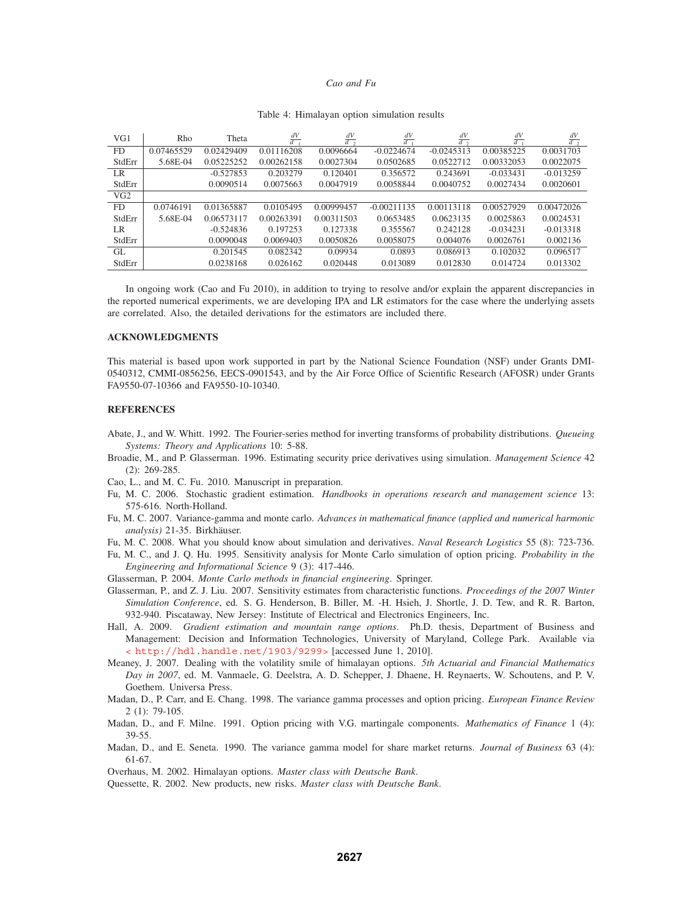| VG1             | Rho        | Theta       | $\frac{dV}{d\sigma_1}$ | $\frac{dV}{d\sigma_2}$ | $\frac{dV}{dv_1}$ | $\frac{dV}{dV_2}$ | $\frac{dV}{d\theta_1}$ | $rac{dV}{d\theta}$ |
|-----------------|------------|-------------|------------------------|------------------------|-------------------|-------------------|------------------------|--------------------|
| FD              | 0.07465529 | 0.02429409  | 0.01116208             | 0.0096664              | $-0.0224674$      | $-0.0245313$      | 0.00385225             | 0.0031703          |
| StdErr          | 5.68E-04   | 0.05225252  | 0.00262158             | 0.0027304              | 0.0502685         | 0.0522712         | 0.00332053             | 0.0022075          |
| LR              |            | $-0.527853$ | 0.203279               | 0.120401               | 0.356572          | 0.243691          | $-0.033431$            | $-0.013259$        |
| StdErr          |            | 0.0090514   | 0.0075663              | 0.0047919              | 0.0058844         | 0.0040752         | 0.0027434              | 0.0020601          |
| VG <sub>2</sub> |            |             |                        |                        |                   |                   |                        |                    |
| FD.             | 0.0746191  | 0.01365887  | 0.0105495              | 0.00999457             | $-0.00211135$     | 0.00113118        | 0.00527929             | 0.00472026         |
| StdErr          | 5.68E-04   | 0.06573117  | 0.00263391             | 0.00311503             | 0.0653485         | 0.0623135         | 0.0025863              | 0.0024531          |
| LR              |            | $-0.524836$ | 0.197253               | 0.127338               | 0.355567          | 0.242128          | $-0.034231$            | $-0.013318$        |
| StdErr          |            | 0.0090048   | 0.0069403              | 0.0050826              | 0.0058075         | 0.004076          | 0.0026761              | 0.002136           |
| GL              |            | 0.201545    | 0.082342               | 0.09934                | 0.0893            | 0.086913          | 0.102032               | 0.096517           |
| StdErr          |            | 0.0238168   | 0.026162               | 0.020448               | 0.013089          | 0.012830          | 0.014724               | 0.013302           |

### Table 4: Himalayan option simulation results

In ongoing work (Cao and Fu 2010), in addition to trying to resolve and/or explain the apparent discrepancies in the reported numerical experiments, we are developing IPA and LR estimators for the case where the underlying assets are correlated. Also, the detailed derivations for the estimators are included there.

### **ACKNOWLEDGMENTS**

This material is based upon work supported in part by the National Science Foundation (NSF) under Grants DMI-0540312, CMMI-0856256, EECS-0901543, and by the Air Force Office of Scientific Research (AFOSR) under Grants FA9550-07-10366 and FA9550-10-10340.

#### **REFERENCES**

- Abate, J., and W. Whitt. 1992. The Fourier-series method for inverting transforms of probability distributions. *Queueing Systems: Theory and Applications* 10: 5-88.
- Broadie, M., and P. Glasserman. 1996. Estimating security price derivatives using simulation. *Management Science* 42 (2): 269-285.
- Cao, L., and M. C. Fu. 2010. Manuscript in preparation.
- Fu, M. C. 2006. Stochastic gradient estimation. *Handbooks in operations research and management science* 13: 575-616. North-Holland.
- Fu, M. C. 2007. Variance-gamma and monte carlo. *Advances in mathematical finance (applied and numerical harmonic analysis*) 21-35. Birkhäuser.
- Fu, M. C. 2008. What you should know about simulation and derivatives. *Naval Research Logistics* 55 (8): 723-736.
- Fu, M. C., and J. Q. Hu. 1995. Sensitivity analysis for Monte Carlo simulation of option pricing. *Probability in the Engineering and Informational Science* 9 (3): 417-446.

Glasserman, P. 2004. *Monte Carlo methods in financial engineering*. Springer.

- Glasserman, P., and Z. J. Liu. 2007. Sensitivity estimates from characteristic functions. *Proceedings of the 2007 Winter Simulation Conference*, ed. S. G. Henderson, B. Biller, M. -H. Hsieh, J. Shortle, J. D. Tew, and R. R. Barton, 932-940. Piscataway, New Jersey: Institute of Electrical and Electronics Engineers, Inc.
- Hall, A. 2009. *Gradient estimation and mountain range options*. Ph.D. thesis, Department of Business and Management: Decision and Information Technologies, University of Maryland, College Park. Available via < http://hdl.handle.net/1903/9299> [accessed June 1, 2010].
- Meaney, J. 2007. Dealing with the volatility smile of himalayan options. *5th Actuarial and Financial Mathematics Day in 2007*, ed. M. Vanmaele, G. Deelstra, A. D. Schepper, J. Dhaene, H. Reynaerts, W. Schoutens, and P. V. Goethem. Universa Press.
- Madan, D., P. Carr, and E. Chang. 1998. The variance gamma processes and option pricing. *European Finance Review* 2 (1): 79-105.
- Madan, D., and F. Milne. 1991. Option pricing with V.G. martingale components. *Mathematics of Finance* 1 (4): 39-55.
- Madan, D., and E. Seneta. 1990. The variance gamma model for share market returns. *Journal of Business* 63 (4): 61-67.

Overhaus, M. 2002. Himalayan options. *Master class with Deutsche Bank*.

Quessette, R. 2002. New products, new risks. *Master class with Deutsche Bank*.